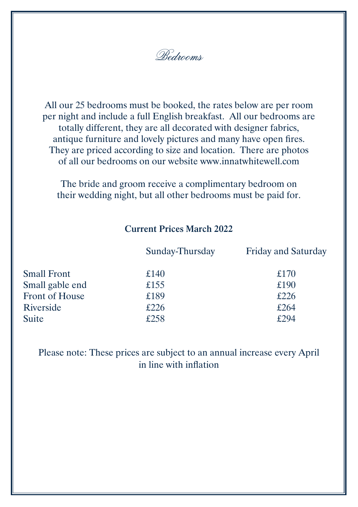Bedrooms

All our 25 bedrooms must be booked, the rates below are per room per night and include a full English breakfast. All our bedrooms are totally different, they are all decorated with designer fabrics, antique furniture and lovely pictures and many have open fires. They are priced according to size and location. There are photos of all our bedrooms on our website www.innatwhitewell.com

The bride and groom receive a complimentary bedroom on their wedding night, but all other bedrooms must be paid for.

### **Current Prices March 2022**

|                    | Sunday-Thursday | <b>Friday and Saturday</b> |
|--------------------|-----------------|----------------------------|
| <b>Small Front</b> | £140            | £170                       |
| Small gable end    | £155            | £190                       |
| Front of House     | £189            | £226                       |
| Riverside          | £226            | £264                       |
| Suite              | £258            | £294                       |

Please note: These prices are subject to an annual increase every April in line with inflation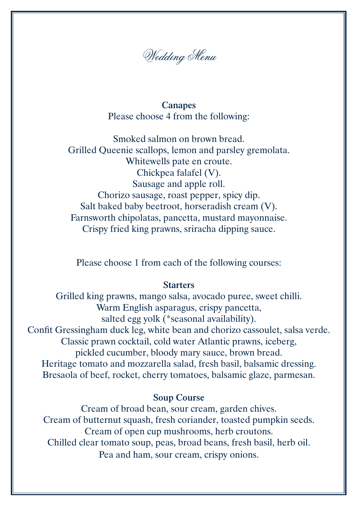

**Canapes** Please choose 4 from the following:

Smoked salmon on brown bread. Grilled Queenie scallops, lemon and parsley gremolata. Whitewells pate en croute. Chickpea falafel (V). Sausage and apple roll. Chorizo sausage, roast pepper, spicy dip. Salt baked baby beetroot, horseradish cream (V). Farnsworth chipolatas, pancetta, mustard mayonnaise. Crispy fried king prawns, sriracha dipping sauce.

Please choose 1 from each of the following courses:

### **Starters**

Grilled king prawns, mango salsa, avocado puree, sweet chilli. Warm English asparagus, crispy pancetta, salted egg yolk (\*seasonal availability). Confit Gressingham duck leg, white bean and chorizo cassoulet, salsa verde. Classic prawn cocktail, cold water Atlantic prawns, iceberg, pickled cucumber, bloody mary sauce, brown bread. Heritage tomato and mozzarella salad, fresh basil, balsamic dressing. Bresaola of beef, rocket, cherry tomatoes, balsamic glaze, parmesan.

#### **Soup Course**

Cream of broad bean, sour cream, garden chives. Cream of butternut squash, fresh coriander, toasted pumpkin seeds. Cream of open cup mushrooms, herb croutons. Chilled clear tomato soup, peas, broad beans, fresh basil, herb oil. Pea and ham, sour cream, crispy onions.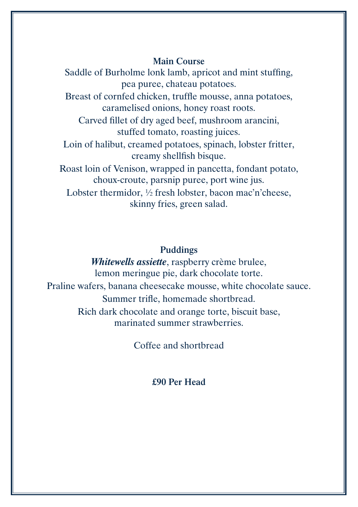## **Main Course**

Saddle of Burholme lonk lamb, apricot and mint stuffing, pea puree, chateau potatoes. Breast of cornfed chicken, truffle mousse, anna potatoes, caramelised onions, honey roast roots. Carved fillet of dry aged beef, mushroom arancini, stuffed tomato, roasting juices. Loin of halibut, creamed potatoes, spinach, lobster fritter, creamy shellfish bisque. Roast loin of Venison, wrapped in pancetta, fondant potato, choux-croute, parsnip puree, port wine jus. Lobster thermidor, ½ fresh lobster, bacon mac'n'cheese, skinny fries, green salad.

# **Puddings**

*Whitewells assiette*, raspberry crème brulee, lemon meringue pie, dark chocolate torte. Praline wafers, banana cheesecake mousse, white chocolate sauce. Summer trifle, homemade shortbread. Rich dark chocolate and orange torte, biscuit base, marinated summer strawberries.

Coffee and shortbread

# **£90 Per Head**